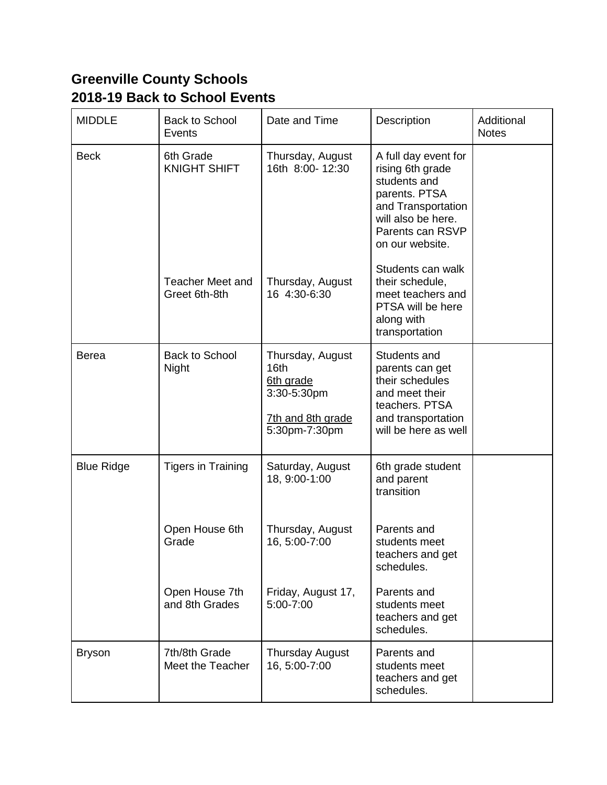## **Greenville County Schools 2018-19 Back to School Events**

| <b>MIDDLE</b>     | <b>Back to School</b><br><b>Events</b>   | Date and Time                                                                                          | <b>Description</b>                                                                                                                                           | Additional<br><b>Notes</b> |
|-------------------|------------------------------------------|--------------------------------------------------------------------------------------------------------|--------------------------------------------------------------------------------------------------------------------------------------------------------------|----------------------------|
| <b>Beck</b>       | 6th Grade<br><b>KNIGHT SHIFT</b>         | Thursday, August<br>16th 8:00-12:30                                                                    | A full day event for<br>rising 6th grade<br>students and<br>parents. PTSA<br>and Transportation<br>will also be here.<br>Parents can RSVP<br>on our website. |                            |
|                   | <b>Teacher Meet and</b><br>Greet 6th-8th | Thursday, August<br>16 4:30-6:30                                                                       | Students can walk<br>their schedule,<br>meet teachers and<br>PTSA will be here<br>along with<br>transportation                                               |                            |
| <b>Berea</b>      | <b>Back to School</b><br><b>Night</b>    | Thursday, August<br>16 <sub>th</sub><br>6th grade<br>3:30-5:30pm<br>7th and 8th grade<br>5:30pm-7:30pm | Students and<br>parents can get<br>their schedules<br>and meet their<br>teachers. PTSA<br>and transportation<br>will be here as well                         |                            |
| <b>Blue Ridge</b> | Tigers in Training                       | Saturday, August<br>18, 9:00-1:00                                                                      | 6th grade student<br>and parent<br>transition                                                                                                                |                            |
|                   | Open House 6th<br>Grade                  | Thursday, August<br>16, 5:00-7:00                                                                      | Parents and<br>students meet<br>teachers and get<br>schedules.                                                                                               |                            |
|                   | Open House 7th<br>and 8th Grades         | Friday, August 17,<br>5:00-7:00                                                                        | Parents and<br>students meet<br>teachers and get<br>schedules.                                                                                               |                            |
| <b>Bryson</b>     | 7th/8th Grade<br>Meet the Teacher        | <b>Thursday August</b><br>16, 5:00-7:00                                                                | Parents and<br>students meet<br>teachers and get<br>schedules.                                                                                               |                            |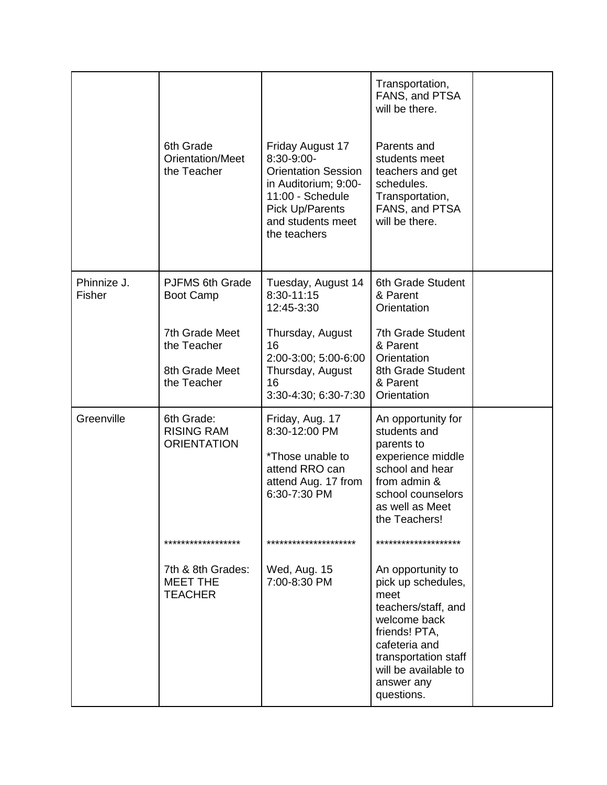|                       | 6th Grade<br><b>Orientation/Meet</b><br>the Teacher            | Friday August 17<br>8:30-9:00-<br><b>Orientation Session</b><br>in Auditorium; 9:00-<br>11:00 - Schedule<br>Pick Up/Parents<br>and students meet<br>the teachers | Transportation,<br>FANS, and PTSA<br>will be there.<br>Parents and<br>students meet<br>teachers and get<br>schedules.<br>Transportation,<br>FANS, and PTSA<br>will be there.                         |  |
|-----------------------|----------------------------------------------------------------|------------------------------------------------------------------------------------------------------------------------------------------------------------------|------------------------------------------------------------------------------------------------------------------------------------------------------------------------------------------------------|--|
| Phinnize J.<br>Fisher | <b>PJFMS 6th Grade</b><br><b>Boot Camp</b>                     | Tuesday, August 14<br>8:30-11:15<br>12:45-3:30                                                                                                                   | 6th Grade Student<br>& Parent<br>Orientation                                                                                                                                                         |  |
|                       | 7th Grade Meet<br>the Teacher<br>8th Grade Meet<br>the Teacher | Thursday, August<br>16<br>2:00-3:00; 5:00-6:00<br>Thursday, August<br>16<br>3:30-4:30; 6:30-7:30                                                                 | 7th Grade Student<br>& Parent<br>Orientation<br>8th Grade Student<br>& Parent<br>Orientation                                                                                                         |  |
| Greenville            | 6th Grade:<br><b>RISING RAM</b><br><b>ORIENTATION</b>          | Friday, Aug. 17<br>8:30-12:00 PM<br>*Those unable to<br>attend RRO can<br>attend Aug. 17 from<br>6:30-7:30 PM                                                    | An opportunity for<br>students and<br>parents to<br>experience middle<br>school and hear<br>from admin &<br>school counselors<br>as well as Meet<br>the Teachers!                                    |  |
|                       | ******************                                             | *********************                                                                                                                                            | ********************                                                                                                                                                                                 |  |
|                       | 7th & 8th Grades:<br><b>MEET THE</b><br><b>TEACHER</b>         | Wed, Aug. 15<br>7:00-8:30 PM                                                                                                                                     | An opportunity to<br>pick up schedules,<br>meet<br>teachers/staff, and<br>welcome back<br>friends! PTA,<br>cafeteria and<br>transportation staff<br>will be available to<br>answer any<br>questions. |  |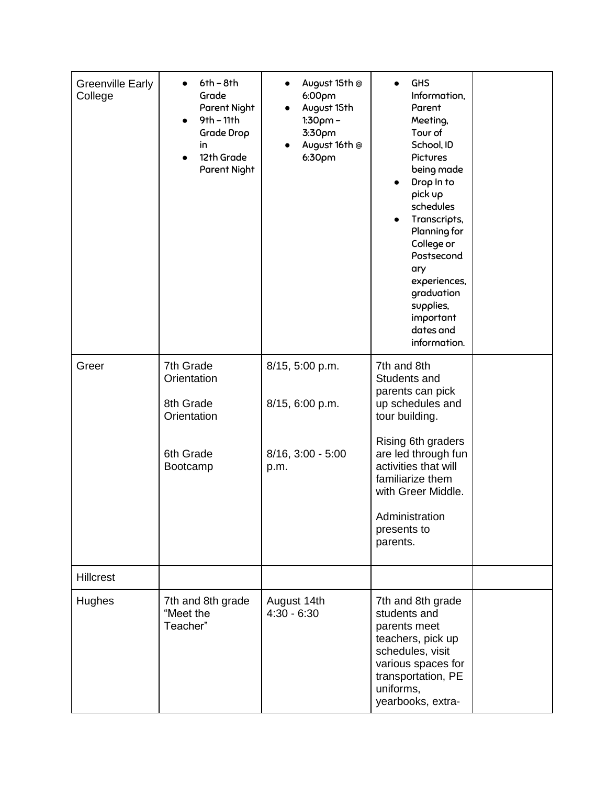| <b>Greenville Early</b><br>College | $6th - 8th$<br>Grade<br>Parent Night<br>$9th - 11th$<br>$\bullet$<br>Grade Drop<br>in<br>12th Grade<br>$\bullet$<br>Parent Night | August 15th @<br>$\bullet$<br>6:00 <sub>pm</sub><br>August 15th<br>$1:30pm -$<br>3:30pm<br>August 16th @<br>6:30 <sub>pm</sub> | <b>GHS</b><br>Information,<br>Parent<br>Meeting,<br>Tour of<br>School, ID<br>Pictures<br>being made<br>Drop In to<br>pick up<br>schedules<br>Transcripts,<br>$\bullet$<br>Planning for<br>College or<br>Postsecond<br>ary<br>experiences,<br>graduation<br>supplies,<br>important<br>dates and<br>information. |  |
|------------------------------------|----------------------------------------------------------------------------------------------------------------------------------|--------------------------------------------------------------------------------------------------------------------------------|----------------------------------------------------------------------------------------------------------------------------------------------------------------------------------------------------------------------------------------------------------------------------------------------------------------|--|
| Greer                              | 7th Grade<br>Orientation<br>8th Grade<br>Orientation<br>6th Grade<br>Bootcamp                                                    | 8/15, 5:00 p.m.<br>8/15, 6:00 p.m.<br>$8/16$ , $3:00 - 5:00$<br>p.m.                                                           | 7th and 8th<br>Students and<br>parents can pick<br>up schedules and<br>tour building.<br>Rising 6th graders<br>are led through fun<br>activities that will<br>familiarize them<br>with Greer Middle.<br>Administration<br>presents to<br>parents.                                                              |  |
| <b>Hillcrest</b><br>Hughes         | 7th and 8th grade<br>"Meet the<br>Teacher"                                                                                       | August 14th<br>$4:30 - 6:30$                                                                                                   | 7th and 8th grade<br>students and<br>parents meet<br>teachers, pick up<br>schedules, visit<br>various spaces for<br>transportation, PE<br>uniforms,<br>yearbooks, extra-                                                                                                                                       |  |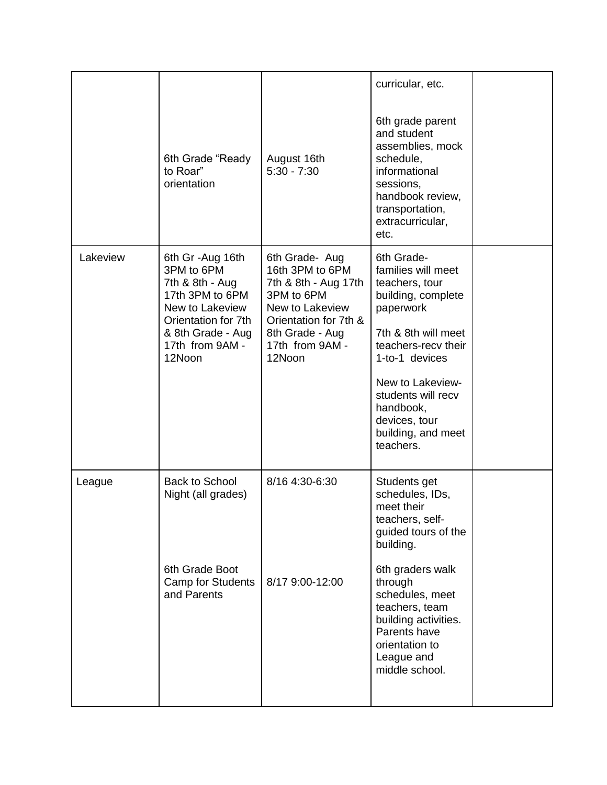|          | 6th Grade "Ready<br>to Roar"<br>orientation                                                                                                                       | August 16th<br>$5:30 - 7:30$                                                                                                                                        | curricular, etc.<br>6th grade parent<br>and student<br>assemblies, mock<br>schedule,<br>informational<br>sessions,<br>handbook review,<br>transportation,<br>extracurricular,<br>etc.                                                                              |  |
|----------|-------------------------------------------------------------------------------------------------------------------------------------------------------------------|---------------------------------------------------------------------------------------------------------------------------------------------------------------------|--------------------------------------------------------------------------------------------------------------------------------------------------------------------------------------------------------------------------------------------------------------------|--|
| Lakeview | 6th Gr - Aug 16th<br>3PM to 6PM<br>7th & 8th - Aug<br>17th 3PM to 6PM<br>New to Lakeview<br>Orientation for 7th<br>& 8th Grade - Aug<br>17th from 9AM -<br>12Noon | 6th Grade- Aug<br>16th 3PM to 6PM<br>7th & 8th - Aug 17th<br>3PM to 6PM<br>New to Lakeview<br>Orientation for 7th &<br>8th Grade - Aug<br>17th from 9AM -<br>12Noon | 6th Grade-<br>families will meet<br>teachers, tour<br>building, complete<br>paperwork<br>7th & 8th will meet<br>teachers-recv their<br>1-to-1 devices<br>New to Lakeview-<br>students will recv<br>handbook,<br>devices, tour<br>building, and meet<br>teachers.   |  |
| League   | <b>Back to School</b><br>Night (all grades)<br>6th Grade Boot<br><b>Camp for Students</b><br>and Parents                                                          | 8/16 4:30-6:30<br>8/17 9:00-12:00                                                                                                                                   | Students get<br>schedules, IDs,<br>meet their<br>teachers, self-<br>guided tours of the<br>building.<br>6th graders walk<br>through<br>schedules, meet<br>teachers, team<br>building activities.<br>Parents have<br>orientation to<br>League and<br>middle school. |  |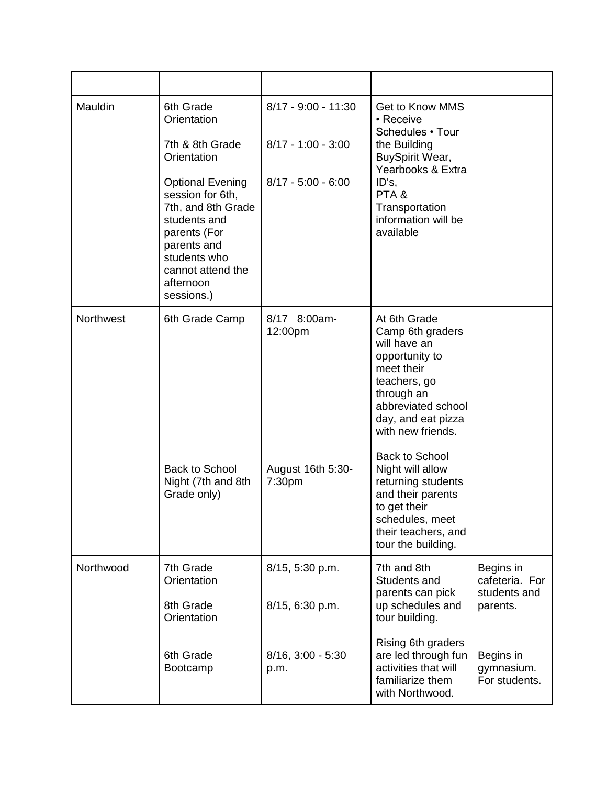| Mauldin   | 6th Grade<br>Orientation<br>7th & 8th Grade<br>Orientation<br><b>Optional Evening</b><br>session for 6th,<br>7th, and 8th Grade<br>students and<br>parents (For<br>parents and<br>students who<br>cannot attend the<br>afternoon<br>sessions.) | $8/17 - 9:00 - 11:30$<br>$8/17 - 1:00 - 3:00$<br>$8/17 - 5:00 - 6:00$ | <b>Get to Know MMS</b><br>• Receive<br>Schedules • Tour<br>the Building<br>BuySpirit Wear,<br>Yearbooks & Extra<br>ID's.<br>PTA&<br>Transportation<br>information will be<br>available                   |                                          |
|-----------|------------------------------------------------------------------------------------------------------------------------------------------------------------------------------------------------------------------------------------------------|-----------------------------------------------------------------------|----------------------------------------------------------------------------------------------------------------------------------------------------------------------------------------------------------|------------------------------------------|
| Northwest | 6th Grade Camp                                                                                                                                                                                                                                 | 8/17 8:00am-<br>12:00pm                                               | At 6th Grade<br>Camp 6th graders<br>will have an<br>opportunity to<br>meet their<br>teachers, go<br>through an<br>abbreviated school<br>day, and eat pizza<br>with new friends.<br><b>Back to School</b> |                                          |
|           | <b>Back to School</b><br>Night (7th and 8th<br>Grade only)                                                                                                                                                                                     | August 16th 5:30-<br>7:30pm                                           | Night will allow<br>returning students<br>and their parents<br>to get their<br>schedules, meet<br>their teachers, and<br>tour the building.                                                              |                                          |
| Northwood | 7th Grade<br>Orientation                                                                                                                                                                                                                       | 8/15, 5:30 p.m.                                                       | 7th and 8th<br>Students and                                                                                                                                                                              | Begins in<br>cafeteria. For              |
|           | 8th Grade<br>Orientation                                                                                                                                                                                                                       | 8/15, 6:30 p.m.                                                       | parents can pick<br>up schedules and<br>tour building.                                                                                                                                                   | students and<br>parents.                 |
|           | 6th Grade<br>Bootcamp                                                                                                                                                                                                                          | $8/16$ , $3:00 - 5:30$<br>p.m.                                        | Rising 6th graders<br>are led through fun<br>activities that will<br>familiarize them<br>with Northwood.                                                                                                 | Begins in<br>gymnasium.<br>For students. |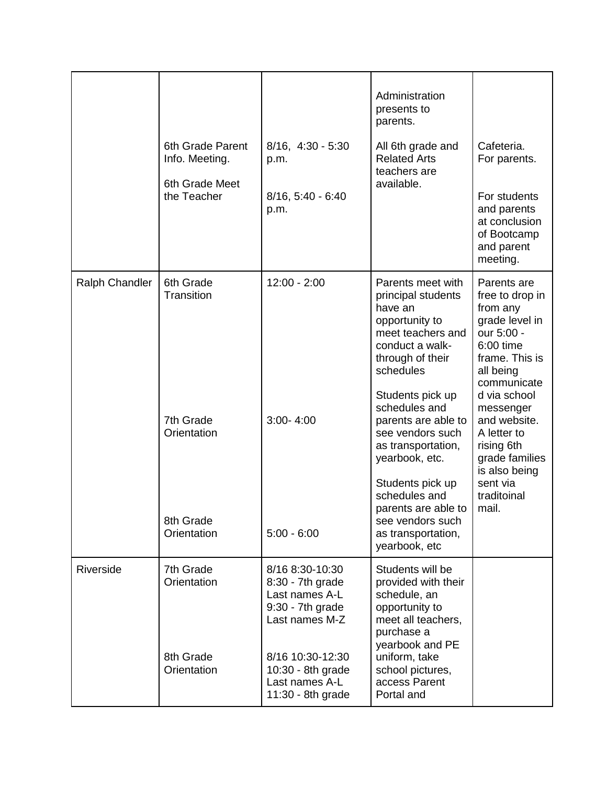|                |                                    |                                                                                                 | Administration<br>presents to<br>parents.                                                                                                     |                                                                                                                                               |
|----------------|------------------------------------|-------------------------------------------------------------------------------------------------|-----------------------------------------------------------------------------------------------------------------------------------------------|-----------------------------------------------------------------------------------------------------------------------------------------------|
|                | 6th Grade Parent<br>Info. Meeting. | $8/16$ , $4:30 - 5:30$<br>p.m.                                                                  | All 6th grade and<br><b>Related Arts</b><br>teachers are                                                                                      | Cafeteria.<br>For parents.                                                                                                                    |
|                | 6th Grade Meet<br>the Teacher      | $8/16$ , $5:40 - 6:40$<br>p.m.                                                                  | available.                                                                                                                                    | For students<br>and parents<br>at conclusion<br>of Bootcamp<br>and parent<br>meeting.                                                         |
| Ralph Chandler | 6th Grade<br><b>Transition</b>     | 12:00 - 2:00                                                                                    | Parents meet with<br>principal students<br>have an<br>opportunity to<br>meet teachers and<br>conduct a walk-<br>through of their<br>schedules | Parents are<br>free to drop in<br>from any<br>grade level in<br>our 5:00 -<br>6:00 time<br>frame. This is<br>all being<br>communicate         |
|                | 7th Grade<br>Orientation           | $3:00 - 4:00$                                                                                   | Students pick up<br>schedules and<br>parents are able to<br>see vendors such<br>as transportation,<br>yearbook, etc.<br>Students pick up      | d via school<br>messenger<br>and website.<br>A letter to<br>rising 6th<br>grade families<br>is also being<br>sent via<br>traditoinal<br>mail. |
|                | 8th Grade<br>Orientation           | $5:00 - 6:00$                                                                                   | schedules and<br>parents are able to<br>see vendors such<br>as transportation,<br>yearbook, etc                                               |                                                                                                                                               |
| Riverside      | 7th Grade<br>Orientation           | 8/16 8:30-10:30<br>$8:30 - 7th$ grade<br>Last names A-L<br>$9:30 - 7th$ grade<br>Last names M-Z | Students will be<br>provided with their<br>schedule, an<br>opportunity to<br>meet all teachers,<br>purchase a                                 |                                                                                                                                               |
|                | 8th Grade<br>Orientation           | 8/16 10:30-12:30<br>10:30 - 8th grade<br>Last names A-L<br>11:30 - 8th grade                    | yearbook and PE<br>uniform, take<br>school pictures,<br>access Parent<br>Portal and                                                           |                                                                                                                                               |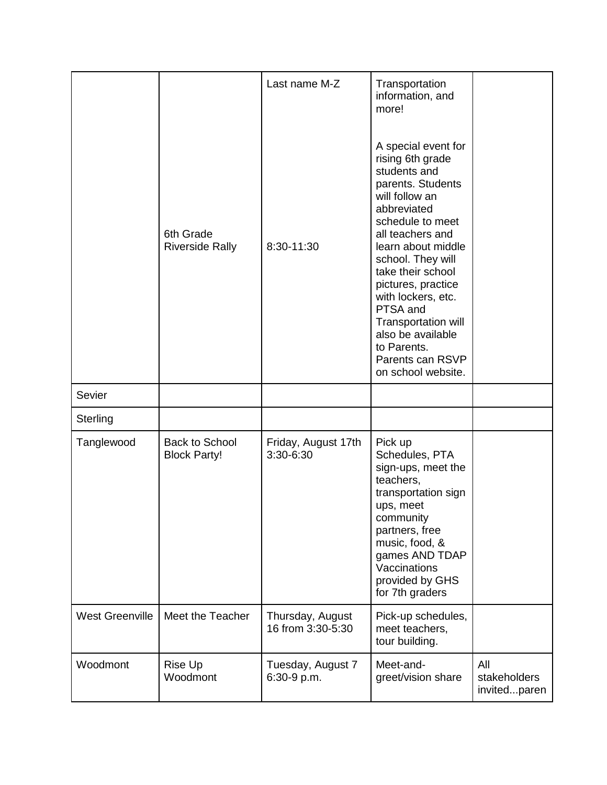|                        |                                              | Last name M-Z                         | Transportation<br>information, and<br>more!                                                                                                                                                                                                                                                                                                                                        |                                     |
|------------------------|----------------------------------------------|---------------------------------------|------------------------------------------------------------------------------------------------------------------------------------------------------------------------------------------------------------------------------------------------------------------------------------------------------------------------------------------------------------------------------------|-------------------------------------|
|                        | 6th Grade<br><b>Riverside Rally</b>          | 8:30-11:30                            | A special event for<br>rising 6th grade<br>students and<br>parents. Students<br>will follow an<br>abbreviated<br>schedule to meet<br>all teachers and<br>learn about middle<br>school. They will<br>take their school<br>pictures, practice<br>with lockers, etc.<br>PTSA and<br>Transportation will<br>also be available<br>to Parents.<br>Parents can RSVP<br>on school website. |                                     |
| Sevier                 |                                              |                                       |                                                                                                                                                                                                                                                                                                                                                                                    |                                     |
| Sterling               |                                              |                                       |                                                                                                                                                                                                                                                                                                                                                                                    |                                     |
| Tanglewood             | <b>Back to School</b><br><b>Block Party!</b> | Friday, August 17th<br>3:30-6:30      | Pick up<br>Schedules, PTA<br>sign-ups, meet the<br>teachers,<br>transportation sign<br>ups, meet<br>community<br>partners, free<br>music, food, &<br>games AND TDAP<br>Vaccinations<br>provided by GHS<br>for 7th graders                                                                                                                                                          |                                     |
| <b>West Greenville</b> | Meet the Teacher                             | Thursday, August<br>16 from 3:30-5:30 | Pick-up schedules,<br>meet teachers,<br>tour building.                                                                                                                                                                                                                                                                                                                             |                                     |
| Woodmont               | Rise Up<br>Woodmont                          | Tuesday, August 7<br>6:30-9 p.m.      | Meet-and-<br>greet/vision share                                                                                                                                                                                                                                                                                                                                                    | All<br>stakeholders<br>invitedparen |